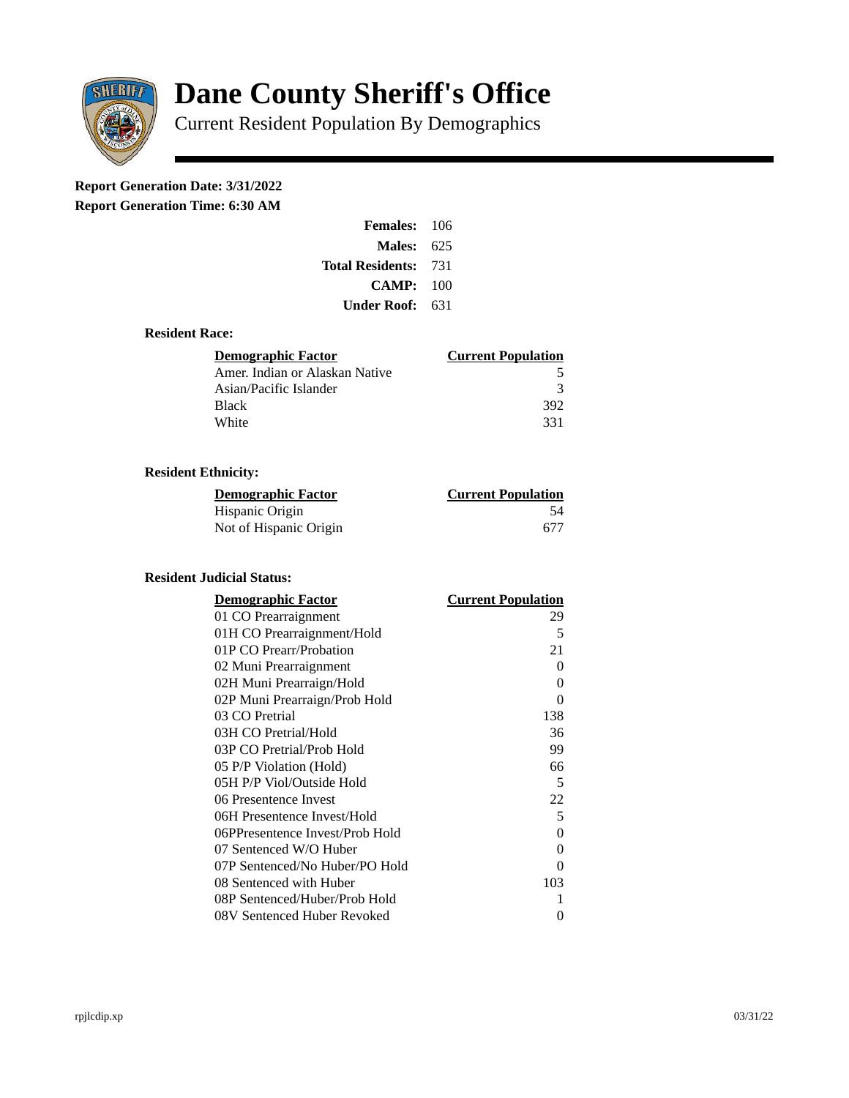

# **Dane County Sheriff's Office**

Current Resident Population By Demographics

# **Report Generation Date: 3/31/2022**

**Report Generation Time: 6:30 AM** 

| <b>Females: 106</b>         |     |
|-----------------------------|-----|
| Males:                      | 625 |
| <b>Total Residents: 731</b> |     |
| CAMP:                       | 100 |
| Under Roof:                 | 631 |

#### **Resident Race:**

| <b>Demographic Factor</b>      | <b>Current Population</b> |
|--------------------------------|---------------------------|
| Amer. Indian or Alaskan Native | 5                         |
| Asian/Pacific Islander         | २                         |
| <b>Black</b>                   | 392                       |
| White                          | 331                       |

## **Resident Ethnicity:**

| <u>Demographic Factor</u> | <u>Current Population</u> |
|---------------------------|---------------------------|
| Hispanic Origin           | 54                        |
| Not of Hispanic Origin    | 677                       |

#### **Resident Judicial Status:**

| <b>Demographic Factor</b>       | <b>Current Population</b> |
|---------------------------------|---------------------------|
| 01 CO Prearraignment            | 29                        |
| 01H CO Prearraignment/Hold      | 5                         |
| 01P CO Prearr/Probation         | 21                        |
| 02 Muni Prearraignment          | 0                         |
| 02H Muni Prearraign/Hold        | 0                         |
| 02P Muni Prearraign/Prob Hold   | 0                         |
| 03 CO Pretrial                  | 138                       |
| 03H CO Pretrial/Hold            | 36                        |
| 03P CO Pretrial/Prob Hold       | 99                        |
| 05 P/P Violation (Hold)         | 66                        |
| 05H P/P Viol/Outside Hold       | 5                         |
| 06 Presentence Invest           | 22                        |
| 06H Presentence Invest/Hold     | 5                         |
| 06PPresentence Invest/Prob Hold | 0                         |
| 07 Sentenced W/O Huber          | 0                         |
| 07P Sentenced/No Huber/PO Hold  | 0                         |
| 08 Sentenced with Huber         | 103                       |
| 08P Sentenced/Huber/Prob Hold   | 1                         |
| 08V Sentenced Huber Revoked     | 0                         |